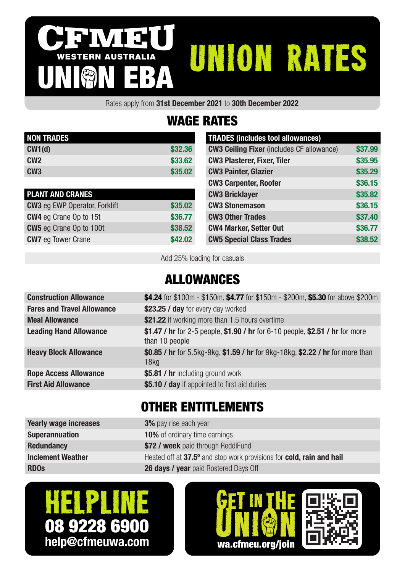# WESTERN AUSTRALIA **IVIEU<br><sup>RN AUSTRALIA</sub> UNION RATES**</sup>

Rates apply from 31st December 2021 to 30th December 2022

## WAGE RATES

| <b>NON TRADES</b> |         |
|-------------------|---------|
| CW1(d)            | \$32,36 |
| CW <sub>2</sub>   | \$33,62 |
| CW <sub>3</sub>   | \$35,02 |

| <b>PLANT AND CRANES</b>              |         |
|--------------------------------------|---------|
| <b>CW3</b> eg EWP Operator, Forklift | \$35.02 |
| <b>CW4</b> eg Crane Op to 15t        | \$36,77 |
| <b>CW5</b> eg Crane Op to 100t       | \$38,52 |
| <b>CW7</b> eg Tower Crane            | \$42.02 |

| <b>TRADES (includes tool allowances)</b>         |         |
|--------------------------------------------------|---------|
| <b>CW3 Ceiling Fixer</b> (includes CF allowance) | \$37.99 |
| <b>CW3 Plasterer, Fixer, Tiler</b>               | \$35.95 |
| <b>CW3 Painter, Glazier</b>                      | \$35.29 |
| <b>CW3 Carpenter, Roofer</b>                     | \$36.15 |
| <b>CW3 Bricklayer</b>                            | \$35.82 |
| <b>CW3 Stonemason</b>                            | \$36.15 |
| <b>CW3 Other Trades</b>                          | \$37.40 |
| <b>CW4 Marker, Setter Out</b>                    | \$36.77 |
| <b>CW5 Special Class Trades</b>                  | \$38.52 |

Add 25% loading for casuals

#### ALLOWANCES

| <b>Construction Allowance</b>     | \$4.24 for \$100m - \$150m, \$4.77 for \$150m - \$200m, \$5.30 for above \$200m                    |
|-----------------------------------|----------------------------------------------------------------------------------------------------|
| <b>Fares and Travel Allowance</b> | \$23.25 / day for every day worked                                                                 |
| <b>Meal Allowance</b>             | \$21.22 if working more than 1.5 hours overtime                                                    |
| <b>Leading Hand Allowance</b>     | \$1.47 / hr for 2-5 people, \$1.90 / hr for 6-10 people, \$2.51 / hr for more<br>than 10 people    |
| <b>Heavy Block Allowance</b>      | \$0.85 / hr for 5.5kg-9kg, \$1.59 / hr for 9kg-18kg, \$2.22 / hr for more than<br>18 <sub>kq</sub> |
| <b>Rope Access Allowance</b>      | \$5.81 / hr including ground work                                                                  |
| <b>First Aid Allowance</b>        | \$5.10 / day if appointed to first aid duties                                                      |
|                                   |                                                                                                    |

#### OTHER ENTITLEMENTS

| <b>Yearly wage increases</b> | <b>3%</b> pay rise each year                                         |
|------------------------------|----------------------------------------------------------------------|
| <b>Superannuation</b>        | <b>10%</b> of ordinary time earnings                                 |
| <b>Redundancy</b>            | \$72 / week paid through ReddiFund                                   |
| <b>Inclement Weather</b>     | Heated off at 37.5° and stop work provisions for cold, rain and hail |
| <b>RDOS</b>                  | <b>26 days / year</b> paid Rostered Days Off                         |